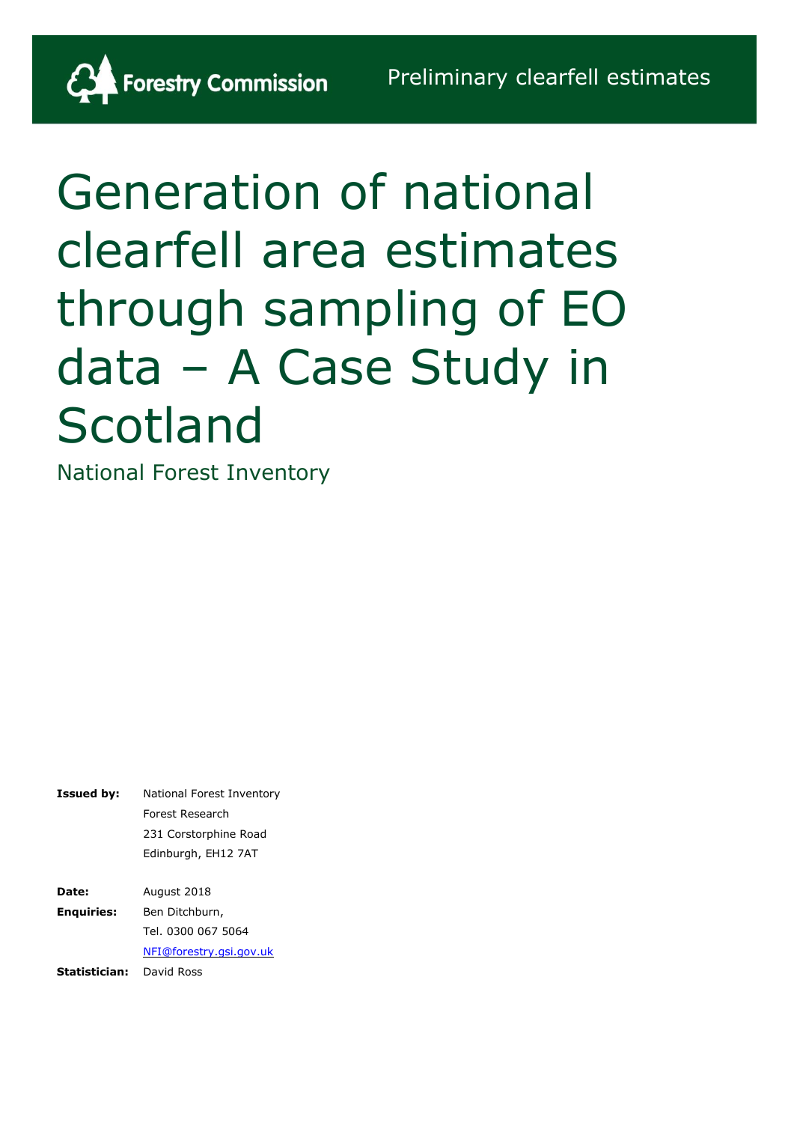

National Forest Inventory

Forestry Commission

**Issued by:** National Forest Inventory Forest Research 231 Corstorphine Road Edinburgh, EH12 7AT **Date:** August 2018 **Enquiries:** Ben Ditchburn,

**Statistician:** David RossTel. 0300 067 5064 [NFI@forestry.gsi.gov.uk](mailto:NFI@forestry.gsi.gov.uk)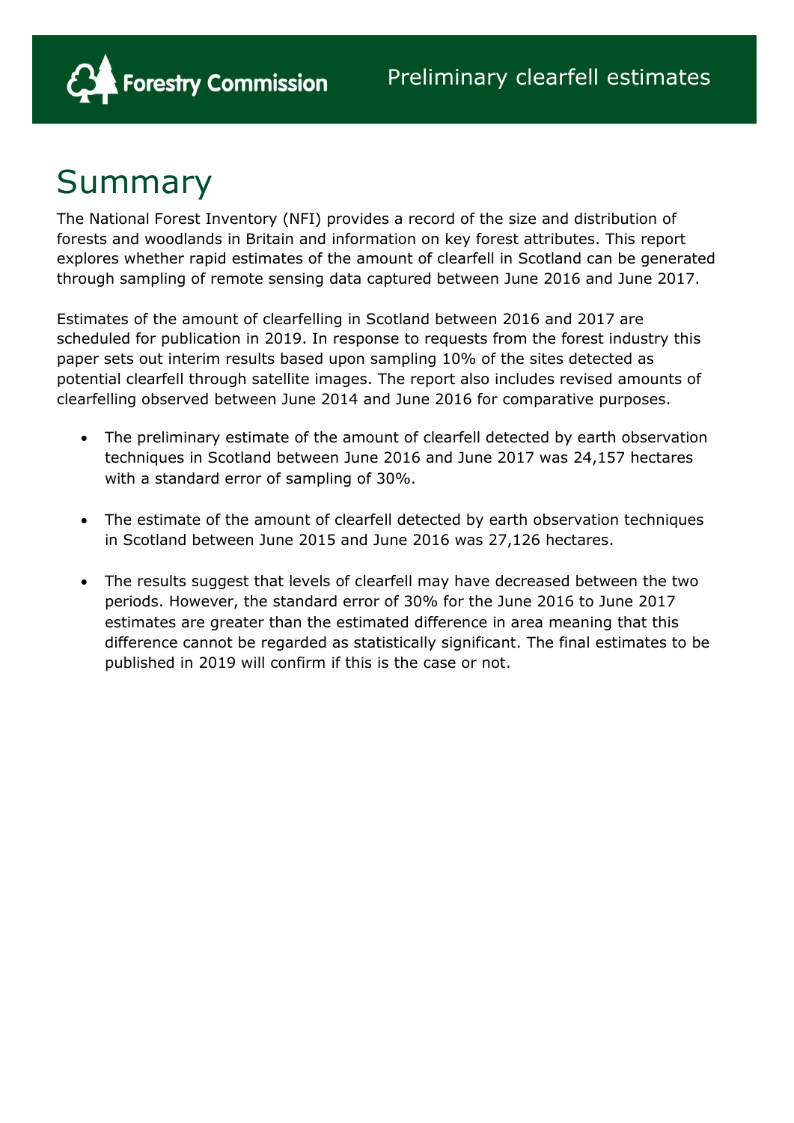

### Summary

The National Forest Inventory (NFI) provides a record of the size and distribution of forests and woodlands in Britain and information on key forest attributes. This report explores whether rapid estimates of the amount of clearfell in Scotland can be generated through sampling of remote sensing data captured between June 2016 and June 2017.

Estimates of the amount of clearfelling in Scotland between 2016 and 2017 are scheduled for publication in 2019. In response to requests from the forest industry this paper sets out interim results based upon sampling 10% of the sites detected as potential clearfell through satellite images. The report also includes revised amounts of clearfelling observed between June 2014 and June 2016 for comparative purposes.

- The preliminary estimate of the amount of clearfell detected by earth observation techniques in Scotland between June 2016 and June 2017 was 24,157 hectares with a standard error of sampling of 30%.
- The estimate of the amount of clearfell detected by earth observation techniques in Scotland between June 2015 and June 2016 was 27,126 hectares.
- The results suggest that levels of clearfell may have decreased between the two periods. However, the standard error of 30% for the June 2016 to June 2017 estimates are greater than the estimated difference in area meaning that this difference cannot be regarded as statistically significant. The final estimates to be published in 2019 will confirm if this is the case or not.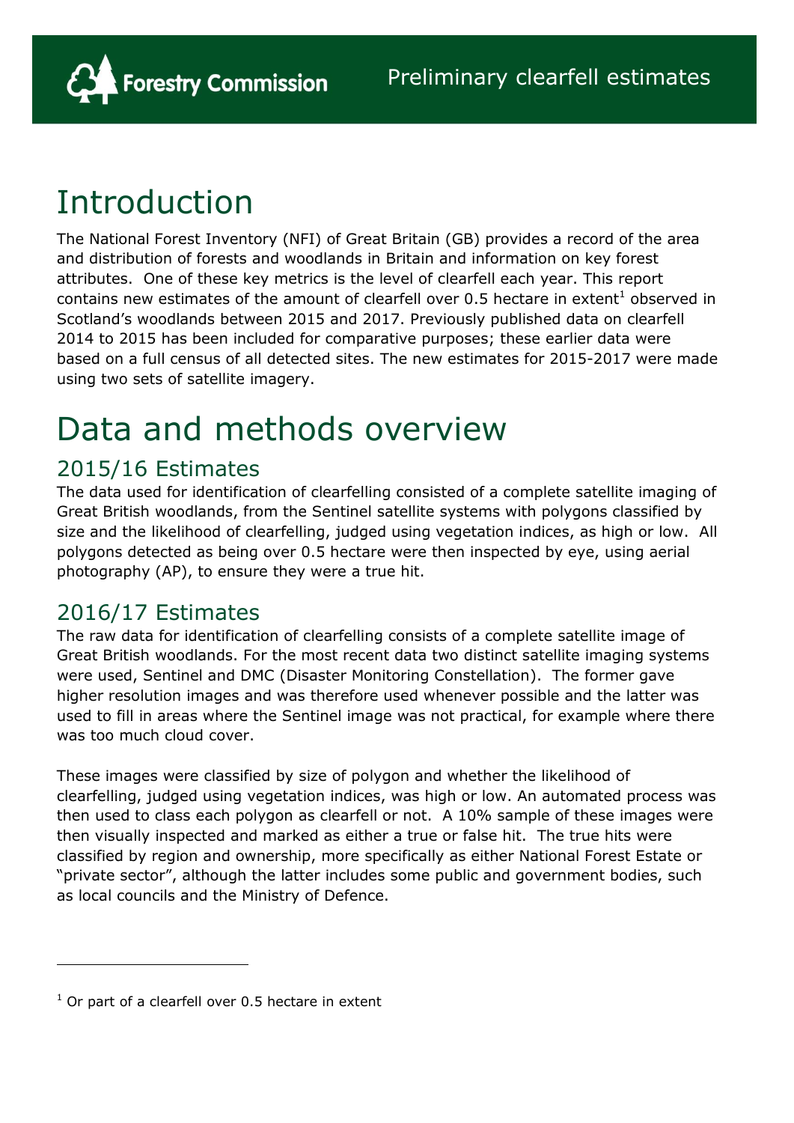

# Introduction

The National Forest Inventory (NFI) of Great Britain (GB) provides a record of the area and distribution of forests and woodlands in Britain and information on key forest attributes. One of these key metrics is the level of clearfell each year. This report contains new estimates of the amount of clearfell over 0.5 hectare in extent<sup>1</sup> observed in Scotland's woodlands between 2015 and 2017. Previously published data on clearfell 2014 to 2015 has been included for comparative purposes; these earlier data were based on a full census of all detected sites. The new estimates for 2015-2017 were made using two sets of satellite imagery.

# Data and methods overview

### 2015/16 Estimates

The data used for identification of clearfelling consisted of a complete satellite imaging of Great British woodlands, from the Sentinel satellite systems with polygons classified by size and the likelihood of clearfelling, judged using vegetation indices, as high or low. All polygons detected as being over 0.5 hectare were then inspected by eye, using aerial photography (AP), to ensure they were a true hit.

### 2016/17 Estimates

The raw data for identification of clearfelling consists of a complete satellite image of Great British woodlands. For the most recent data two distinct satellite imaging systems were used, Sentinel and DMC (Disaster Monitoring Constellation). The former gave higher resolution images and was therefore used whenever possible and the latter was used to fill in areas where the Sentinel image was not practical, for example where there was too much cloud cover.

These images were classified by size of polygon and whether the likelihood of clearfelling, judged using vegetation indices, was high or low. An automated process was then used to class each polygon as clearfell or not. A 10% sample of these images were then visually inspected and marked as either a true or false hit. The true hits were classified by region and ownership, more specifically as either National Forest Estate or "private sector", although the latter includes some public and government bodies, such as local councils and the Ministry of Defence.

 $\overline{a}$ 

 $1$  Or part of a clearfell over 0.5 hectare in extent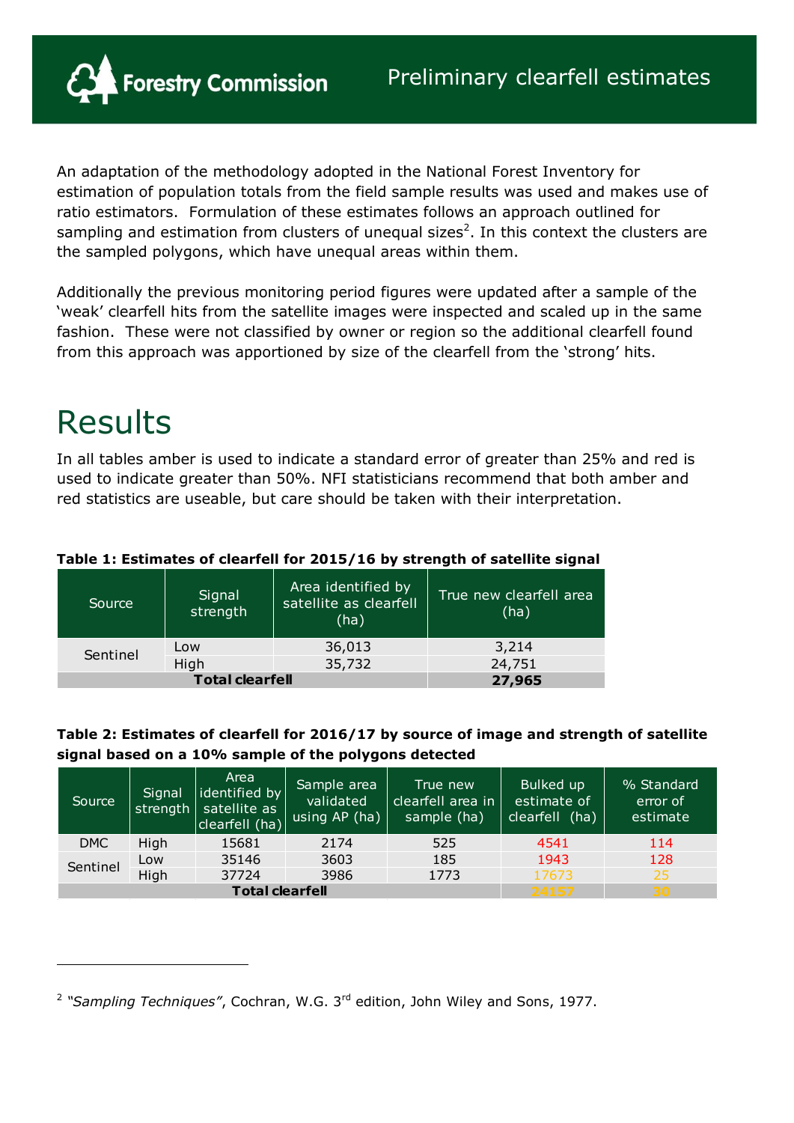**Forestry Commission** 

An adaptation of the methodology adopted in the National Forest Inventory for estimation of population totals from the field sample results was used and makes use of ratio estimators. Formulation of these estimates follows an approach outlined for sampling and estimation from clusters of unequal sizes<sup>2</sup>. In this context the clusters are the sampled polygons, which have unequal areas within them.

Additionally the previous monitoring period figures were updated after a sample of the 'weak' clearfell hits from the satellite images were inspected and scaled up in the same fashion. These were not classified by owner or region so the additional clearfell found from this approach was apportioned by size of the clearfell from the 'strong' hits.

# Results

 $\overline{a}$ 

In all tables amber is used to indicate a standard error of greater than 25% and red is used to indicate greater than 50%. NFI statisticians recommend that both amber and red statistics are useable, but care should be taken with their interpretation.

| Source   | Signal<br>strength | Area identified by<br>satellite as clearfell<br>(ha) | True new clearfell area<br>(ha) |
|----------|--------------------|------------------------------------------------------|---------------------------------|
| Sentinel | Low                | 36,013                                               | 3,214                           |
|          | High               | 35,732                                               | 24,751                          |
|          | 27,965             |                                                      |                                 |

### **Table 1: Estimates of clearfell for 2015/16 by strength of satellite signal**

### **Table 2: Estimates of clearfell for 2016/17 by source of image and strength of satellite signal based on a 10% sample of the polygons detected**

| Source                 | Signal | Area<br>lidentified by<br>strength   satellite as<br>clearfell (ha) | Sample area<br>validated<br>using AP (ha) | True new<br>clearfell area in<br>sample (ha) | Bulked up<br>estimate of<br>clearfell (ha) | % Standard<br>error of<br>estimate |
|------------------------|--------|---------------------------------------------------------------------|-------------------------------------------|----------------------------------------------|--------------------------------------------|------------------------------------|
| <b>DMC</b>             | High   | 15681                                                               | 2174                                      | 525                                          | 4541                                       | 114                                |
| Sentinel               | Low    | 35146                                                               | 3603                                      | 185                                          | 1943                                       | 128                                |
|                        | High   | 37724                                                               | 3986                                      | 1773                                         | 17673                                      | 25                                 |
| <b>Total clearfell</b> |        |                                                                     |                                           |                                              | 24157                                      | 30                                 |

<sup>&</sup>lt;sup>2</sup> "Sampling Techniques", Cochran, W.G. 3<sup>rd</sup> edition, John Wiley and Sons, 1977.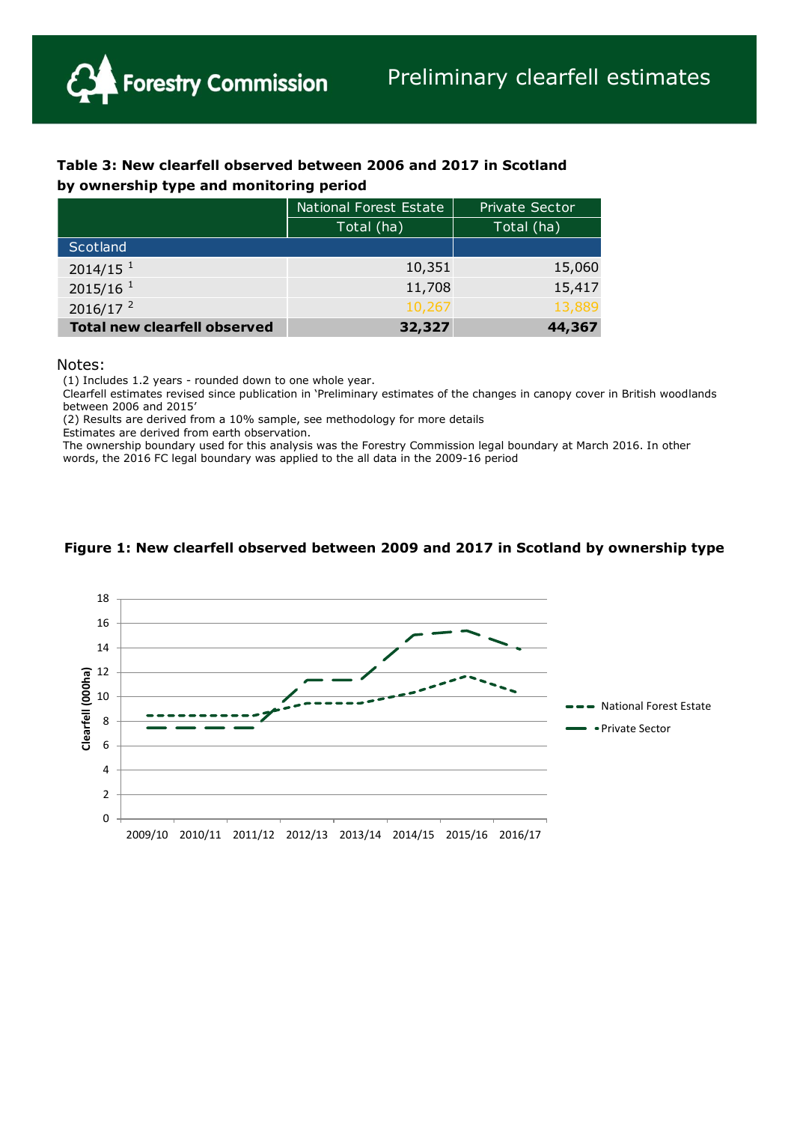

| Table 3: New clearfell observed between 2006 and 2017 in Scotland |
|-------------------------------------------------------------------|
| by ownership type and monitoring period                           |

|                                     | National Forest Estate | <b>Private Sector</b> |  |
|-------------------------------------|------------------------|-----------------------|--|
|                                     | Total (ha)             | Total (ha)            |  |
| Scotland                            |                        |                       |  |
| $2014/15$ <sup>1</sup>              | 10,351                 | 15,060                |  |
| 2015/16 <sup>1</sup>                | 11,708                 | 15,417                |  |
| 2016/17 <sup>2</sup>                | 10,267                 | 13,889                |  |
| <b>Total new clearfell observed</b> | 32,327                 | 44,367                |  |

#### Notes:

(1) Includes 1.2 years - rounded down to one whole year.

Clearfell estimates revised since publication in 'Preliminary estimates of the changes in canopy cover in British woodlands between 2006 and 2015'

(2) Results are derived from a 10% sample, see methodology for more details

Estimates are derived from earth observation.

The ownership boundary used for this analysis was the Forestry Commission legal boundary at March 2016. In other words, the 2016 FC legal boundary was applied to the all data in the 2009-16 period



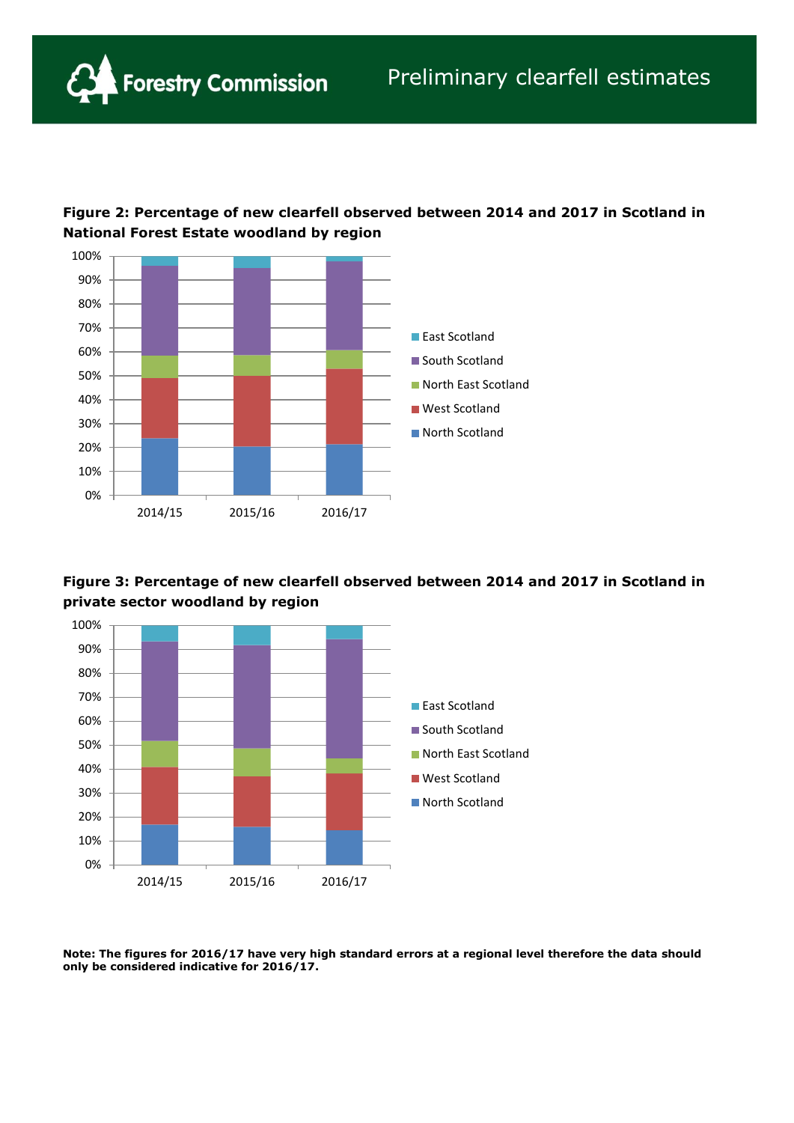

**Forestry Commission** 







**Note: The figures for 2016/17 have very high standard errors at a regional level therefore the data should only be considered indicative for 2016/17.**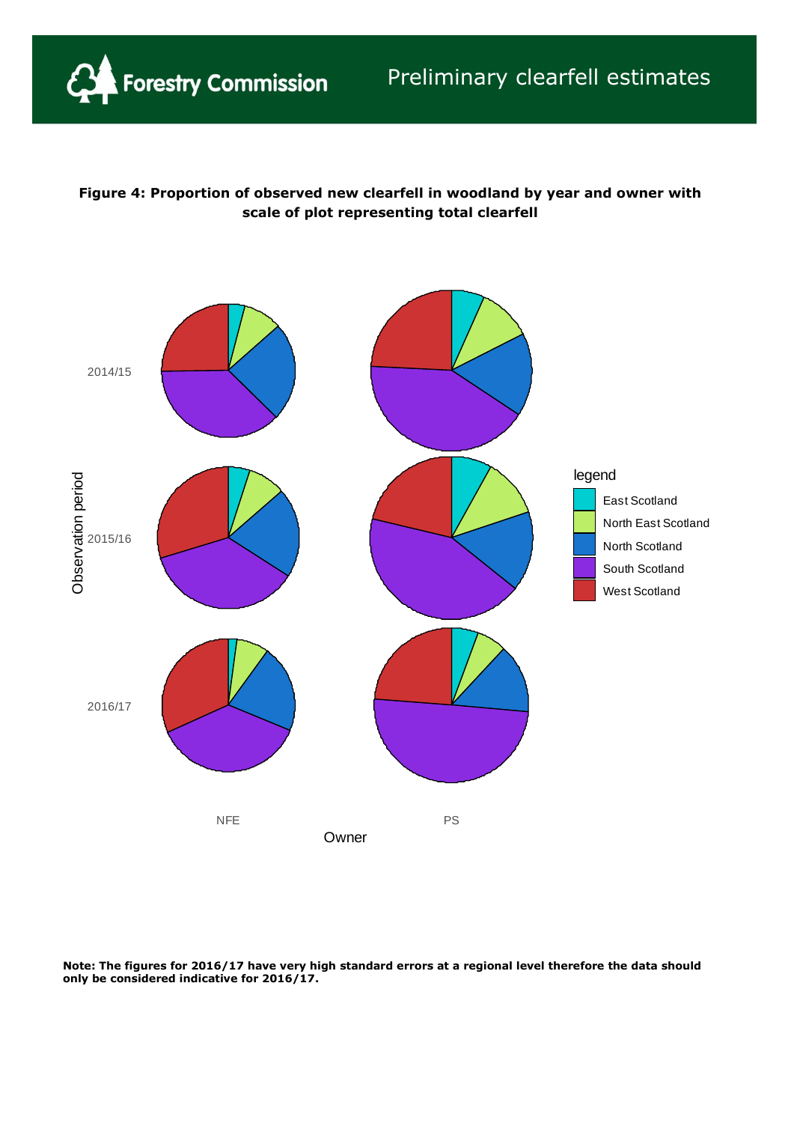### **Figure 4: Proportion of observed new clearfell in woodland by year and owner with scale of plot representing total clearfell**



**Note: The figures for 2016/17 have very high standard errors at a regional level therefore the data should only be considered indicative for 2016/17.**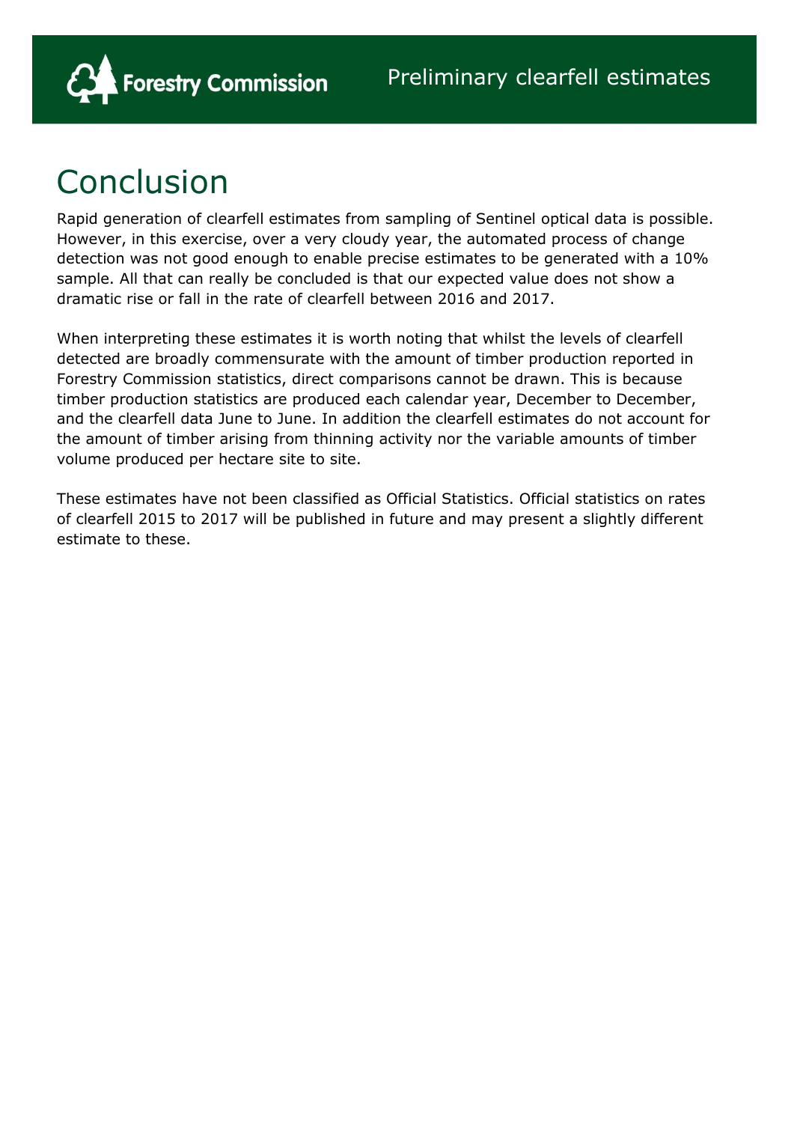

# Conclusion

Rapid generation of clearfell estimates from sampling of Sentinel optical data is possible. However, in this exercise, over a very cloudy year, the automated process of change detection was not good enough to enable precise estimates to be generated with a 10% sample. All that can really be concluded is that our expected value does not show a dramatic rise or fall in the rate of clearfell between 2016 and 2017.

When interpreting these estimates it is worth noting that whilst the levels of clearfell detected are broadly commensurate with the amount of timber production reported in Forestry Commission statistics, direct comparisons cannot be drawn. This is because timber production statistics are produced each calendar year, December to December, and the clearfell data June to June. In addition the clearfell estimates do not account for the amount of timber arising from thinning activity nor the variable amounts of timber volume produced per hectare site to site.

These estimates have not been classified as Official Statistics. Official statistics on rates of clearfell 2015 to 2017 will be published in future and may present a slightly different estimate to these.